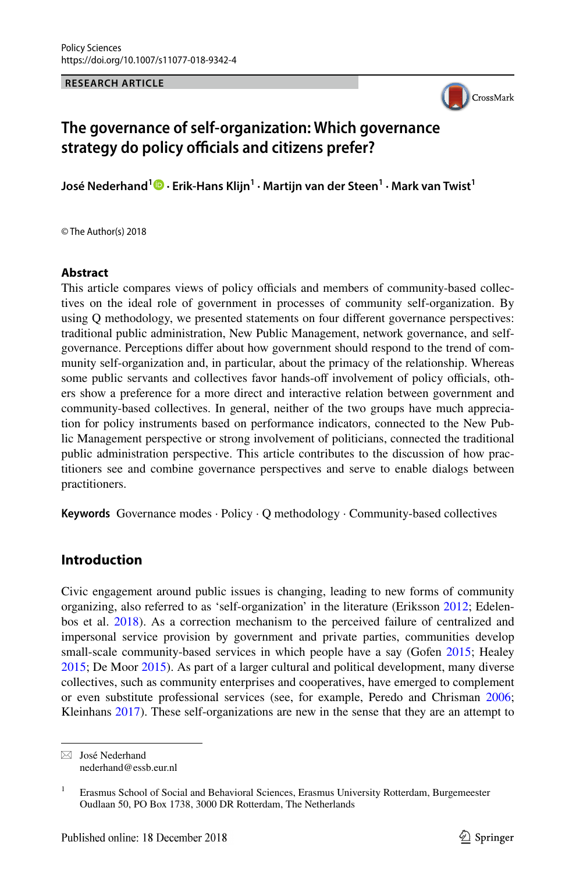**RESEARCH ARTICLE**



# **The governance of self‑organization: Which governance**  strategy do policy officials and citizens prefer?

**José Nederhand1 · Erik‑Hans Klijn1 · Martijn van der Steen1 · Mark van Twist1**

© The Author(s) 2018

## **Abstract**

This article compares views of policy officials and members of community-based collectives on the ideal role of government in processes of community self-organization. By using Q methodology, we presented statements on four diferent governance perspectives: traditional public administration, New Public Management, network governance, and selfgovernance. Perceptions difer about how government should respond to the trend of community self-organization and, in particular, about the primacy of the relationship. Whereas some public servants and collectives favor hands-off involvement of policy officials, others show a preference for a more direct and interactive relation between government and community-based collectives. In general, neither of the two groups have much appreciation for policy instruments based on performance indicators, connected to the New Public Management perspective or strong involvement of politicians, connected the traditional public administration perspective. This article contributes to the discussion of how practitioners see and combine governance perspectives and serve to enable dialogs between practitioners.

**Keywords** Governance modes · Policy · Q methodology · Community-based collectives

# **Introduction**

Civic engagement around public issues is changing, leading to new forms of community organizing, also referred to as 'self-organization' in the literature (Eriksson [2012;](#page-19-0) Edelen-bos et al. [2018](#page-19-1)). As a correction mechanism to the perceived failure of centralized and impersonal service provision by government and private parties, communities develop small-scale community-based services in which people have a say (Gofen [2015;](#page-19-2) Healey [2015;](#page-19-3) De Moor [2015](#page-19-4)). As part of a larger cultural and political development, many diverse collectives, such as community enterprises and cooperatives, have emerged to complement or even substitute professional services (see, for example, Peredo and Chrisman [2006;](#page-20-0) Kleinhans [2017](#page-19-5)). These self-organizations are new in the sense that they are an attempt to

 $\boxtimes$  José Nederhand nederhand@essb.eur.nl

 $1$  Erasmus School of Social and Behavioral Sciences, Erasmus University Rotterdam, Burgemeester Oudlaan 50, PO Box 1738, 3000 DR Rotterdam, The Netherlands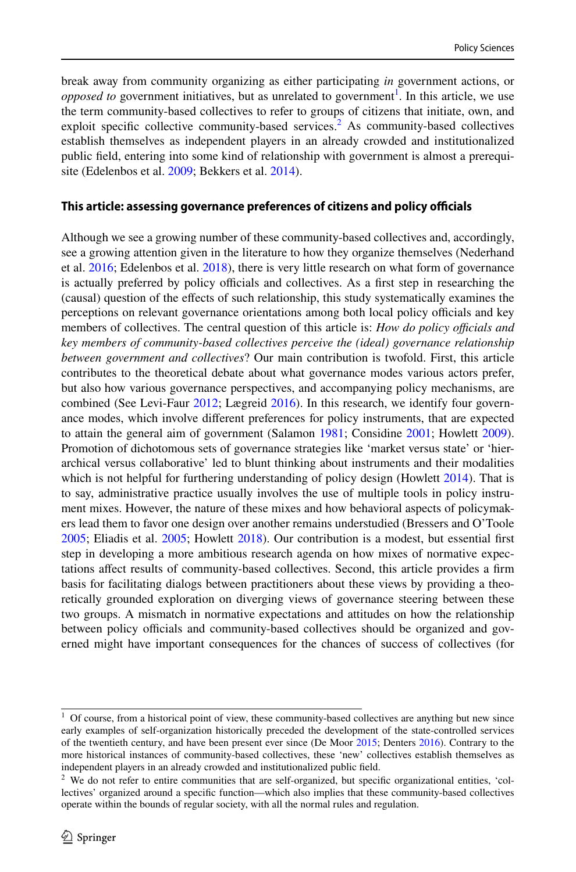break away from community organizing as either participating *in* government actions, or *opposed to* government initiatives, but as unrelated to government<sup>1</sup>. In this article, we use the term community-based collectives to refer to groups of citizens that initiate, own, and exploit specific collective community-based services.<sup>2</sup> As community-based collectives establish themselves as independent players in an already crowded and institutionalized public feld, entering into some kind of relationship with government is almost a prerequisite (Edelenbos et al. [2009](#page-19-6); Bekkers et al. [2014](#page-18-0)).

## This article: assessing governance preferences of citizens and policy officials

Although we see a growing number of these community-based collectives and, accordingly, see a growing attention given in the literature to how they organize themselves (Nederhand et al. [2016;](#page-20-1) Edelenbos et al. [2018\)](#page-19-1), there is very little research on what form of governance is actually preferred by policy officials and collectives. As a first step in researching the (causal) question of the efects of such relationship, this study systematically examines the perceptions on relevant governance orientations among both local policy officials and key members of collectives. The central question of this article is: *How do policy officials and key members of community-based collectives perceive the (ideal) governance relationship between government and collectives*? Our main contribution is twofold. First, this article contributes to the theoretical debate about what governance modes various actors prefer, but also how various governance perspectives, and accompanying policy mechanisms, are combined (See Levi-Faur [2012;](#page-20-2) Lægreid [2016\)](#page-20-3). In this research, we identify four governance modes, which involve diferent preferences for policy instruments, that are expected to attain the general aim of government (Salamon [1981;](#page-20-4) Considine [2001](#page-19-7); Howlett [2009](#page-19-8)). Promotion of dichotomous sets of governance strategies like 'market versus state' or 'hierarchical versus collaborative' led to blunt thinking about instruments and their modalities which is not helpful for furthering understanding of policy design (Howlett [2014\)](#page-19-9). That is to say, administrative practice usually involves the use of multiple tools in policy instrument mixes. However, the nature of these mixes and how behavioral aspects of policymakers lead them to favor one design over another remains understudied (Bressers and O'Toole [2005;](#page-19-10) Eliadis et al. [2005](#page-19-11); Howlett [2018](#page-19-12)). Our contribution is a modest, but essential frst step in developing a more ambitious research agenda on how mixes of normative expectations afect results of community-based collectives. Second, this article provides a frm basis for facilitating dialogs between practitioners about these views by providing a theoretically grounded exploration on diverging views of governance steering between these two groups. A mismatch in normative expectations and attitudes on how the relationship between policy officials and community-based collectives should be organized and governed might have important consequences for the chances of success of collectives (for

<span id="page-1-0"></span> $1$  Of course, from a historical point of view, these community-based collectives are anything but new since early examples of self-organization historically preceded the development of the state-controlled services of the twentieth century, and have been present ever since (De Moor [2015;](#page-19-4) Denters [2016\)](#page-19-13). Contrary to the more historical instances of community-based collectives, these 'new' collectives establish themselves as independent players in an already crowded and institutionalized public feld.

<span id="page-1-1"></span><sup>&</sup>lt;sup>2</sup> We do not refer to entire communities that are self-organized, but specific organizational entities, 'collectives' organized around a specifc function—which also implies that these community-based collectives operate within the bounds of regular society, with all the normal rules and regulation.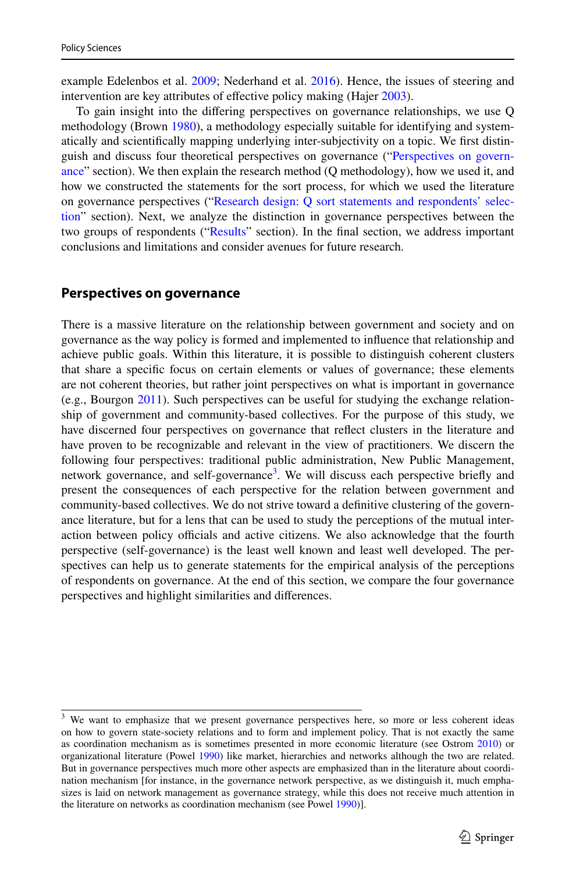example Edelenbos et al. [2009](#page-19-6); Nederhand et al. [2016](#page-20-1)). Hence, the issues of steering and intervention are key attributes of effective policy making (Hajer [2003](#page-19-14)).

To gain insight into the difering perspectives on governance relationships, we use Q methodology (Brown [1980\)](#page-19-15), a methodology especially suitable for identifying and systematically and scientifcally mapping underlying inter-subjectivity on a topic. We frst distinguish and discuss four theoretical perspectives on governance ("[Perspectives on govern](#page-2-0)[ance](#page-2-0)" section). We then explain the research method (Q methodology), how we used it, and how we constructed the statements for the sort process, for which we used the literature on governance perspectives (["Research design: Q sort statements and respondents' selec](#page-5-0)[tion"](#page-5-0) section). Next, we analyze the distinction in governance perspectives between the two groups of respondents (["Results"](#page-9-0) section). In the final section, we address important conclusions and limitations and consider avenues for future research.

## <span id="page-2-0"></span>**Perspectives on governance**

There is a massive literature on the relationship between government and society and on governance as the way policy is formed and implemented to infuence that relationship and achieve public goals. Within this literature, it is possible to distinguish coherent clusters that share a specifc focus on certain elements or values of governance; these elements are not coherent theories, but rather joint perspectives on what is important in governance (e.g., Bourgon [2011](#page-19-16)). Such perspectives can be useful for studying the exchange relationship of government and community-based collectives. For the purpose of this study, we have discerned four perspectives on governance that refect clusters in the literature and have proven to be recognizable and relevant in the view of practitioners. We discern the following four perspectives: traditional public administration, New Public Management, network governance, and self-governance<sup>3</sup>. We will discuss each perspective briefly and present the consequences of each perspective for the relation between government and community-based collectives. We do not strive toward a defnitive clustering of the governance literature, but for a lens that can be used to study the perceptions of the mutual interaction between policy officials and active citizens. We also acknowledge that the fourth perspective (self-governance) is the least well known and least well developed. The perspectives can help us to generate statements for the empirical analysis of the perceptions of respondents on governance. At the end of this section, we compare the four governance perspectives and highlight similarities and diferences.

<span id="page-2-1"></span><sup>&</sup>lt;sup>3</sup> We want to emphasize that we present governance perspectives here, so more or less coherent ideas on how to govern state-society relations and to form and implement policy. That is not exactly the same as coordination mechanism as is sometimes presented in more economic literature (see Ostrom [2010](#page-20-5)) or organizational literature (Powel [1990\)](#page-20-6) like market, hierarchies and networks although the two are related. But in governance perspectives much more other aspects are emphasized than in the literature about coordination mechanism [for instance, in the governance network perspective, as we distinguish it, much emphasizes is laid on network management as governance strategy, while this does not receive much attention in the literature on networks as coordination mechanism (see Powel [1990](#page-20-6))].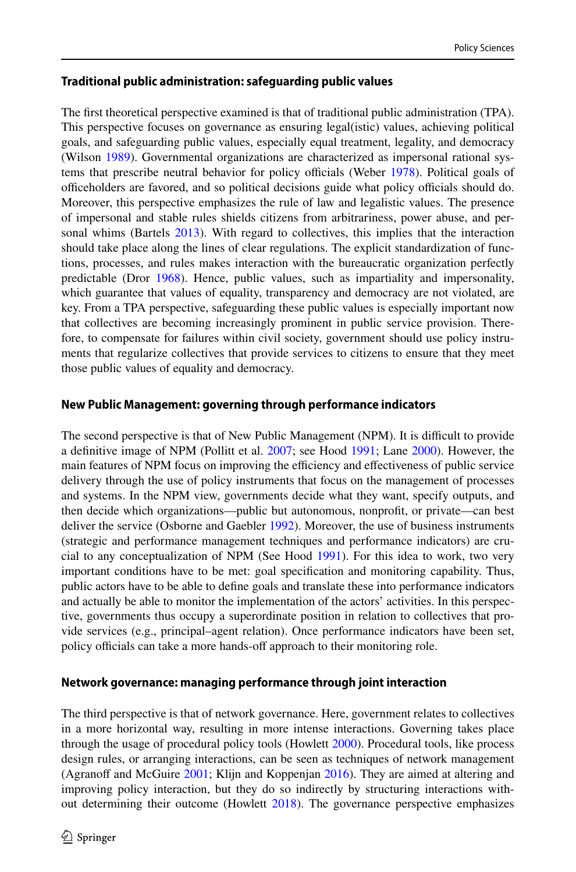#### **Traditional public administration: safeguarding public values**

The frst theoretical perspective examined is that of traditional public administration (TPA). This perspective focuses on governance as ensuring legal(istic) values, achieving political goals, and safeguarding public values, especially equal treatment, legality, and democracy (Wilson [1989](#page-20-7)). Governmental organizations are characterized as impersonal rational sys-tems that prescribe neutral behavior for policy officials (Weber [1978\)](#page-20-8). Political goals of officeholders are favored, and so political decisions guide what policy officials should do. Moreover, this perspective emphasizes the rule of law and legalistic values. The presence of impersonal and stable rules shields citizens from arbitrariness, power abuse, and personal whims (Bartels [2013](#page-18-1)). With regard to collectives, this implies that the interaction should take place along the lines of clear regulations. The explicit standardization of functions, processes, and rules makes interaction with the bureaucratic organization perfectly predictable (Dror [1968\)](#page-19-17). Hence, public values, such as impartiality and impersonality, which guarantee that values of equality, transparency and democracy are not violated, are key. From a TPA perspective, safeguarding these public values is especially important now that collectives are becoming increasingly prominent in public service provision. Therefore, to compensate for failures within civil society, government should use policy instruments that regularize collectives that provide services to citizens to ensure that they meet those public values of equality and democracy.

#### **New Public Management: governing through performance indicators**

The second perspective is that of New Public Management (NPM). It is difficult to provide a defnitive image of NPM (Pollitt et al. [2007](#page-20-9); see Hood [1991;](#page-19-18) Lane [2000](#page-20-10)). However, the main features of NPM focus on improving the efficiency and effectiveness of public service delivery through the use of policy instruments that focus on the management of processes and systems. In the NPM view, governments decide what they want, specify outputs, and then decide which organizations—public but autonomous, nonproft, or private—can best deliver the service (Osborne and Gaebler [1992\)](#page-20-11). Moreover, the use of business instruments (strategic and performance management techniques and performance indicators) are crucial to any conceptualization of NPM (See Hood [1991\)](#page-19-18). For this idea to work, two very important conditions have to be met: goal specifcation and monitoring capability. Thus, public actors have to be able to defne goals and translate these into performance indicators and actually be able to monitor the implementation of the actors' activities. In this perspective, governments thus occupy a superordinate position in relation to collectives that provide services (e.g., principal–agent relation). Once performance indicators have been set, policy officials can take a more hands-off approach to their monitoring role.

## **Network governance: managing performance through joint interaction**

The third perspective is that of network governance. Here, government relates to collectives in a more horizontal way, resulting in more intense interactions. Governing takes place through the usage of procedural policy tools (Howlett [2000](#page-19-19)). Procedural tools, like process design rules, or arranging interactions, can be seen as techniques of network management (Agranoff and McGuire [2001](#page-18-2); Klijn and Koppenjan [2016\)](#page-19-20). They are aimed at altering and improving policy interaction, but they do so indirectly by structuring interactions without determining their outcome (Howlett [2018\)](#page-19-12). The governance perspective emphasizes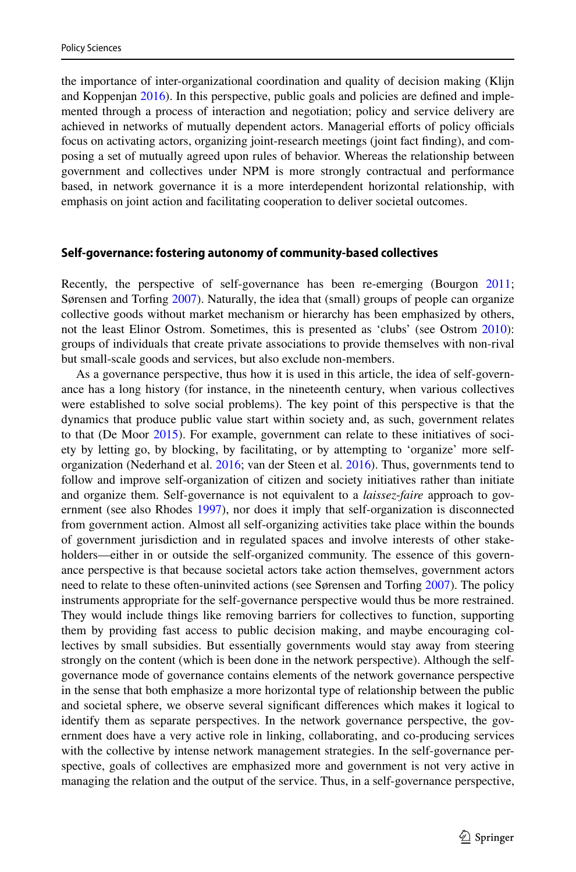the importance of inter-organizational coordination and quality of decision making (Klijn and Koppenjan [2016](#page-19-20)). In this perspective, public goals and policies are defned and implemented through a process of interaction and negotiation; policy and service delivery are achieved in networks of mutually dependent actors. Managerial efforts of policy officials focus on activating actors, organizing joint-research meetings (joint fact fnding), and composing a set of mutually agreed upon rules of behavior. Whereas the relationship between government and collectives under NPM is more strongly contractual and performance based, in network governance it is a more interdependent horizontal relationship, with emphasis on joint action and facilitating cooperation to deliver societal outcomes.

#### **Self‑governance: fostering autonomy of community‑based collectives**

Recently, the perspective of self-governance has been re-emerging (Bourgon [2011;](#page-19-16) Sørensen and Torfng [2007](#page-20-12)). Naturally, the idea that (small) groups of people can organize collective goods without market mechanism or hierarchy has been emphasized by others, not the least Elinor Ostrom. Sometimes, this is presented as 'clubs' (see Ostrom [2010\)](#page-20-5): groups of individuals that create private associations to provide themselves with non-rival but small-scale goods and services, but also exclude non-members.

As a governance perspective, thus how it is used in this article, the idea of self-governance has a long history (for instance, in the nineteenth century, when various collectives were established to solve social problems). The key point of this perspective is that the dynamics that produce public value start within society and, as such, government relates to that (De Moor [2015](#page-19-4)). For example, government can relate to these initiatives of society by letting go, by blocking, by facilitating, or by attempting to 'organize' more selforganization (Nederhand et al. [2016;](#page-20-1) van der Steen et al. [2016](#page-20-13)). Thus, governments tend to follow and improve self-organization of citizen and society initiatives rather than initiate and organize them. Self-governance is not equivalent to a *laissez*-*faire* approach to government (see also Rhodes [1997](#page-20-14)), nor does it imply that self-organization is disconnected from government action. Almost all self-organizing activities take place within the bounds of government jurisdiction and in regulated spaces and involve interests of other stakeholders—either in or outside the self-organized community. The essence of this governance perspective is that because societal actors take action themselves, government actors need to relate to these often-uninvited actions (see Sørensen and Torfng [2007\)](#page-20-12). The policy instruments appropriate for the self-governance perspective would thus be more restrained. They would include things like removing barriers for collectives to function, supporting them by providing fast access to public decision making, and maybe encouraging collectives by small subsidies. But essentially governments would stay away from steering strongly on the content (which is been done in the network perspective). Although the selfgovernance mode of governance contains elements of the network governance perspective in the sense that both emphasize a more horizontal type of relationship between the public and societal sphere, we observe several signifcant diferences which makes it logical to identify them as separate perspectives. In the network governance perspective, the government does have a very active role in linking, collaborating, and co-producing services with the collective by intense network management strategies. In the self-governance perspective, goals of collectives are emphasized more and government is not very active in managing the relation and the output of the service. Thus, in a self-governance perspective,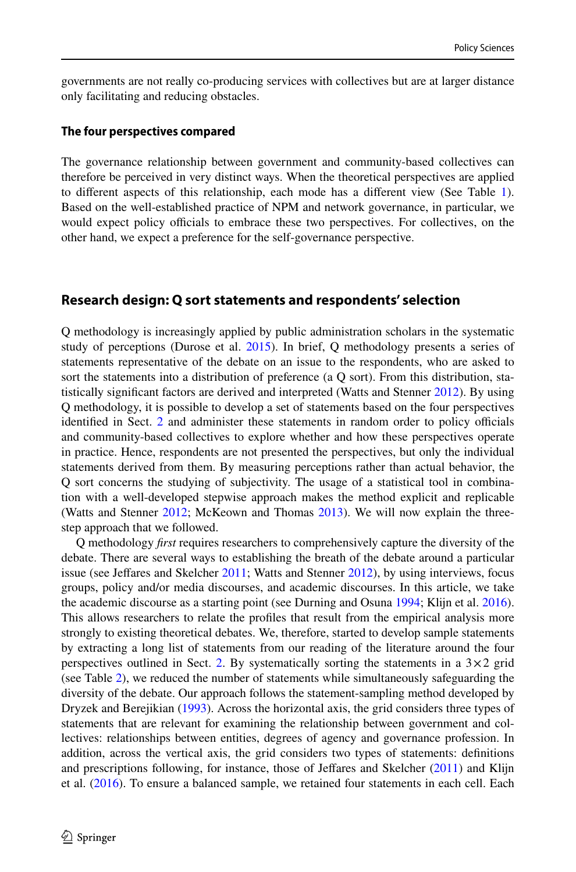governments are not really co-producing services with collectives but are at larger distance only facilitating and reducing obstacles.

#### **The four perspectives compared**

The governance relationship between government and community-based collectives can therefore be perceived in very distinct ways. When the theoretical perspectives are applied to diferent aspects of this relationship, each mode has a diferent view (See Table [1](#page-6-0)). Based on the well-established practice of NPM and network governance, in particular, we would expect policy officials to embrace these two perspectives. For collectives, on the other hand, we expect a preference for the self-governance perspective.

#### <span id="page-5-0"></span>**Research design: Q sort statements and respondents' selection**

Q methodology is increasingly applied by public administration scholars in the systematic study of perceptions (Durose et al. [2015\)](#page-19-21). In brief, Q methodology presents a series of statements representative of the debate on an issue to the respondents, who are asked to sort the statements into a distribution of preference (a Q sort). From this distribution, statistically signifcant factors are derived and interpreted (Watts and Stenner [2012](#page-20-15)). By using Q methodology, it is possible to develop a set of statements based on the four perspectives identified in Sect.  $2$  and administer these statements in random order to policy officials and community-based collectives to explore whether and how these perspectives operate in practice. Hence, respondents are not presented the perspectives, but only the individual statements derived from them. By measuring perceptions rather than actual behavior, the Q sort concerns the studying of subjectivity. The usage of a statistical tool in combination with a well-developed stepwise approach makes the method explicit and replicable (Watts and Stenner [2012](#page-20-15); McKeown and Thomas [2013](#page-20-16)). We will now explain the threestep approach that we followed.

Q methodology *frst* requires researchers to comprehensively capture the diversity of the debate. There are several ways to establishing the breath of the debate around a particular issue (see Jefares and Skelcher [2011;](#page-19-22) Watts and Stenner [2012\)](#page-20-15), by using interviews, focus groups, policy and/or media discourses, and academic discourses. In this article, we take the academic discourse as a starting point (see Durning and Osuna [1994;](#page-19-23) Klijn et al. [2016](#page-19-24)). This allows researchers to relate the profles that result from the empirical analysis more strongly to existing theoretical debates. We, therefore, started to develop sample statements by extracting a long list of statements from our reading of the literature around the four perspectives outlined in Sect. [2.](#page-2-0) By systematically sorting the statements in a  $3\times2$  grid (see Table [2](#page-7-0)), we reduced the number of statements while simultaneously safeguarding the diversity of the debate. Our approach follows the statement-sampling method developed by Dryzek and Berejikian ([1993\)](#page-19-25). Across the horizontal axis, the grid considers three types of statements that are relevant for examining the relationship between government and collectives: relationships between entities, degrees of agency and governance profession. In addition, across the vertical axis, the grid considers two types of statements: defnitions and prescriptions following, for instance, those of Jefares and Skelcher [\(2011](#page-19-22)) and Klijn et al. ([2016\)](#page-19-24). To ensure a balanced sample, we retained four statements in each cell. Each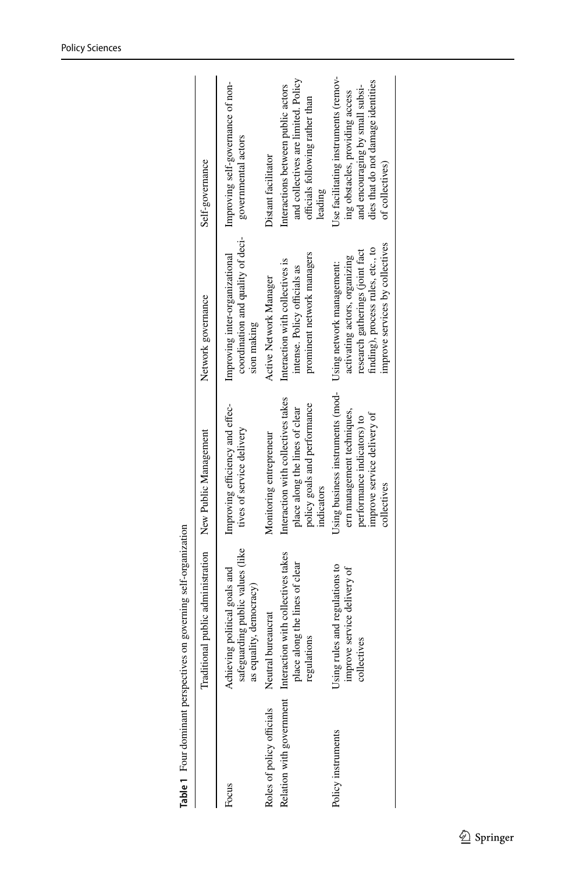|                           | Traditional public administration New Public Management                                                      |                                                                                                                                            | Network governance                                                                                                                                                    | Self-governance                                                                                                                                                    |
|---------------------------|--------------------------------------------------------------------------------------------------------------|--------------------------------------------------------------------------------------------------------------------------------------------|-----------------------------------------------------------------------------------------------------------------------------------------------------------------------|--------------------------------------------------------------------------------------------------------------------------------------------------------------------|
| Focus                     | safeguarding public values (like<br>Achieving political goals and<br>as equality, democracy)                 | Improving efficiency and effec-<br>tives of service delivery                                                                               | coordination and quality of deci-<br>Improving inter-organizational<br>sion making                                                                                    | Improving self-governance of non-<br>governmental actors                                                                                                           |
| Roles of policy officials | Neutral bureaucrat                                                                                           | Monitoring entrepreneur                                                                                                                    | Active Network Manager                                                                                                                                                | Distant facilitator                                                                                                                                                |
|                           | Relation with government Interaction with collectives takes<br>place along the lines of clear<br>regulations | Interaction with collectives takes<br>policy goals and performance<br>place along the lines of clear<br>indicators                         | prominent network managers<br>Interaction with collectives is<br>intense. Policy officials as                                                                         | and collectives are limited. Policy<br>Interactions between public actors<br>officials following rather than<br>leading                                            |
| Policy instruments        | Using rules and regulations to<br>improve service delivery of<br>collectives                                 | Using business instruments (mod-<br>ern management techniques,<br>improve service delivery of<br>performance indicators) to<br>collectives | improve services by collectives<br>finding), process rules, etc., to<br>research gatherings (joint fact<br>activating actors, organizing<br>Using network management: | Use facilitating instruments (remov-<br>dies that do not damage identities<br>and encouraging by small subsi-<br>ing obstacles, providing access<br>of collectives |
|                           |                                                                                                              |                                                                                                                                            |                                                                                                                                                                       |                                                                                                                                                                    |

<span id="page-6-0"></span>Table 1 Four dominant perspectives on governing self-organization **Table 1** Four dominant perspectives on governing self-organization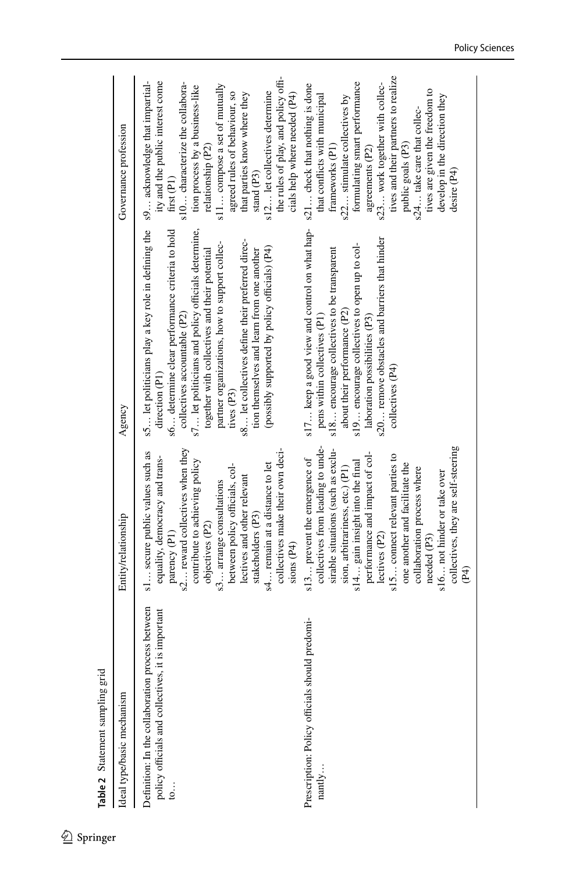<span id="page-7-0"></span>

| ഇ<br>Springer | Table 2 Statement sampling grid                                                                                                       |                                                                                                                                                                                                                                                                                                                                                                                                                                 |                                                                                                                                                                                                                                                                                                                                                                                                                                                                                    |                                                                                                                                                                                                                                                                                                                                                                                                         |
|---------------|---------------------------------------------------------------------------------------------------------------------------------------|---------------------------------------------------------------------------------------------------------------------------------------------------------------------------------------------------------------------------------------------------------------------------------------------------------------------------------------------------------------------------------------------------------------------------------|------------------------------------------------------------------------------------------------------------------------------------------------------------------------------------------------------------------------------------------------------------------------------------------------------------------------------------------------------------------------------------------------------------------------------------------------------------------------------------|---------------------------------------------------------------------------------------------------------------------------------------------------------------------------------------------------------------------------------------------------------------------------------------------------------------------------------------------------------------------------------------------------------|
|               | Ideal type/basic mechanism                                                                                                            | Entity/relationship                                                                                                                                                                                                                                                                                                                                                                                                             | Agency                                                                                                                                                                                                                                                                                                                                                                                                                                                                             | Governance profession                                                                                                                                                                                                                                                                                                                                                                                   |
|               | Definition: In the collaboration process between<br>is important<br>policy officials and collectives, it<br>$\mathfrak{t}\circ\ldots$ | s2 reward collectives when they<br>collectives make their own deci-<br>s1 secure public values such as<br>equality, democracy and trans-<br>contribute to achieving policy<br>s4 remain at a distance to let<br>between policy officials, col-<br>lectives and other relevant<br>s3 arrange consultations<br>stakeholders (P3)<br>objectives (P2)<br>parency (P1)<br>sions $(P4)$                                               | s7 let politicians and policy officials determine,<br>s5 let politicians play a key role in defining the<br>s6 determine clear performance criteria to hold<br>s8 let collectives define their preferred direc-<br>partner organizations, how to support collec-<br>(possibly supported by policy officials) (P4)<br>together with collectives and their potential<br>tion themselves and learn from one another<br>collectives accountable (P2)<br>direction (P1)<br>tives $(P3)$ | the rules of play, and policy offi-<br>ity and the public interest come<br>s9 acknowledge that impartial-<br>s10 characterize the collabora-<br>s11 compose a set of mutually<br>tion process by a business-like<br>s12 let collectives determine<br>agreed rules of behaviour, so<br>that parties know where they<br>cials help where needed (P4)<br>relationship (P2)<br>stand $(P3)$<br>first $(PI)$ |
|               | predomi-<br>Prescription: Policy officials should<br>nantly                                                                           | collectives from leading to unde-<br>collectives, they are self-steering<br>sirable situations (such as exclu-<br>performance and impact of col-<br>s15 connect relevant parties to<br>s13 prevent the emergence of<br>s14 gain insight into the final<br>one another and facilitate the<br>sion, arbitrariness, etc.) (P1)<br>collaboration process where<br>s16 not hinder or take over<br>lectives (P2)<br>needed(P3)<br>(भि | s17 keep a good view and control on what hap-<br>s20 remove obstacles and barriers that hinder<br>s19 encourage collectives to open up to col-<br>s18 encourage collectives to be transparent<br>about their performance (P2)<br>laboration possibilities (P3)<br>pens within collectives (P1)<br>collectives (P4)                                                                                                                                                                 | tives and their partners to realize<br>formulating smart performance<br>s23 work together with collec-<br>s21 check that nothing is done<br>tives are given the freedom to<br>that conflicts with municipal<br>develop in the direction they<br>s22 stimulate collectives by<br>s24 take care that collec-<br>public goals (P3)<br>frameworks (P1)<br>agreements (P2)<br>$\text{desire}$ $(\text{P4})$  |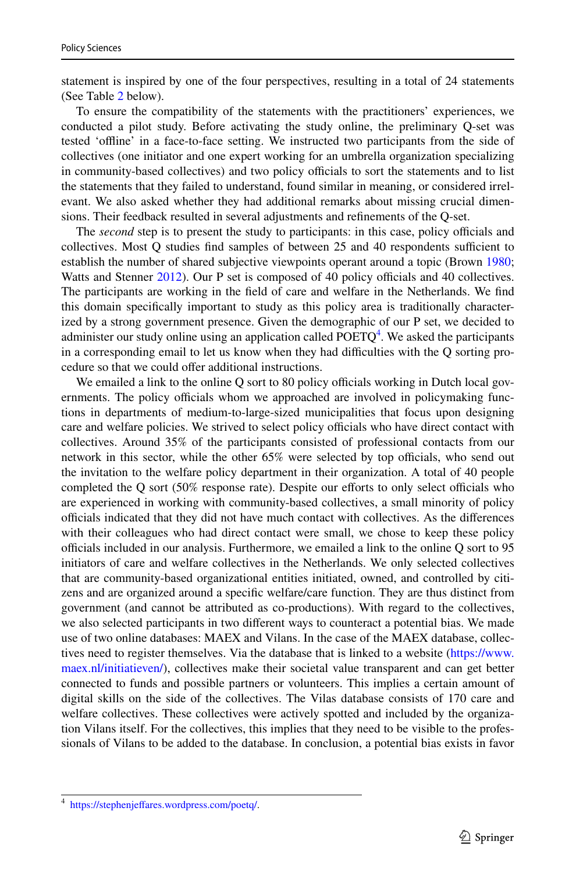statement is inspired by one of the four perspectives, resulting in a total of 24 statements (See Table [2](#page-7-0) below).

To ensure the compatibility of the statements with the practitioners' experiences, we conducted a pilot study. Before activating the study online, the preliminary Q-set was tested 'ofine' in a face-to-face setting. We instructed two participants from the side of collectives (one initiator and one expert working for an umbrella organization specializing in community-based collectives) and two policy officials to sort the statements and to list the statements that they failed to understand, found similar in meaning, or considered irrelevant. We also asked whether they had additional remarks about missing crucial dimensions. Their feedback resulted in several adjustments and refnements of the Q-set.

The *second* step is to present the study to participants: in this case, policy officials and  $\alpha$  collectives. Most Q studies find samples of between 25 and 40 respondents sufficient to establish the number of shared subjective viewpoints operant around a topic (Brown [1980;](#page-19-15) Watts and Stenner [2012\)](#page-20-15). Our  $P$  set is composed of 40 policy officials and 40 collectives. The participants are working in the feld of care and welfare in the Netherlands. We fnd this domain specifcally important to study as this policy area is traditionally characterized by a strong government presence. Given the demographic of our P set, we decided to administer our study online using an application called  $POETQ<sup>4</sup>$  $POETQ<sup>4</sup>$  $POETQ<sup>4</sup>$ . We asked the participants in a corresponding email to let us know when they had difculties with the Q sorting procedure so that we could offer additional instructions.

We emailed a link to the online  $Q$  sort to 80 policy officials working in Dutch local governments. The policy officials whom we approached are involved in policymaking functions in departments of medium-to-large-sized municipalities that focus upon designing care and welfare policies. We strived to select policy officials who have direct contact with collectives. Around 35% of the participants consisted of professional contacts from our network in this sector, while the other  $65\%$  were selected by top officials, who send out the invitation to the welfare policy department in their organization. A total of 40 people completed the Q sort  $(50\%$  response rate). Despite our efforts to only select officials who are experienced in working with community-based collectives, a small minority of policy officials indicated that they did not have much contact with collectives. As the differences with their colleagues who had direct contact were small, we chose to keep these policy officials included in our analysis. Furthermore, we emailed a link to the online  $Q$  sort to 95 initiators of care and welfare collectives in the Netherlands. We only selected collectives that are community-based organizational entities initiated, owned, and controlled by citizens and are organized around a specifc welfare/care function. They are thus distinct from government (and cannot be attributed as co-productions). With regard to the collectives, we also selected participants in two diferent ways to counteract a potential bias. We made use of two online databases: MAEX and Vilans. In the case of the MAEX database, collectives need to register themselves. Via the database that is linked to a website ([https://www.](https://www.maex.nl/initiatieven/) [maex.nl/initiatieven/\)](https://www.maex.nl/initiatieven/), collectives make their societal value transparent and can get better connected to funds and possible partners or volunteers. This implies a certain amount of digital skills on the side of the collectives. The Vilas database consists of 170 care and welfare collectives. These collectives were actively spotted and included by the organization Vilans itself. For the collectives, this implies that they need to be visible to the professionals of Vilans to be added to the database. In conclusion, a potential bias exists in favor

<span id="page-8-0"></span><sup>4</sup> <https://stephenjeffares.wordpress.com/poetq/>.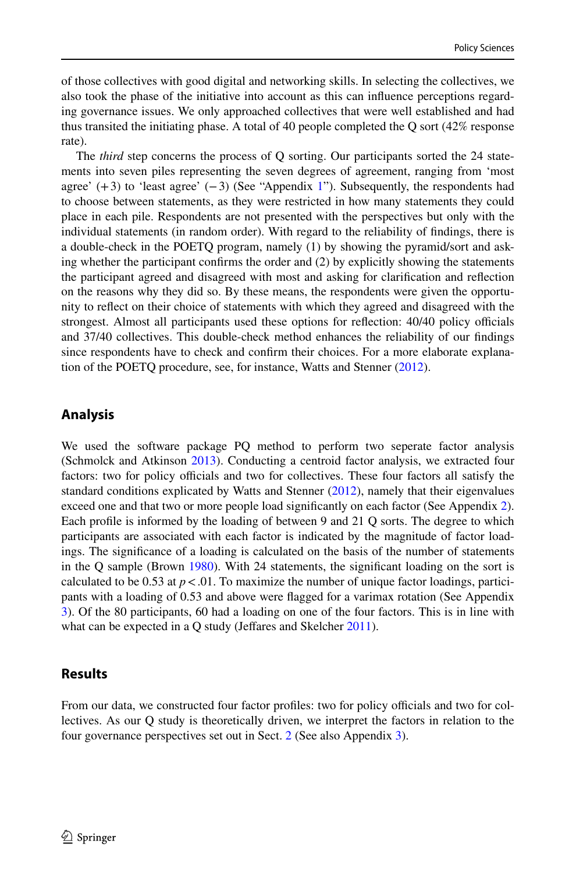of those collectives with good digital and networking skills. In selecting the collectives, we also took the phase of the initiative into account as this can infuence perceptions regarding governance issues. We only approached collectives that were well established and had thus transited the initiating phase. A total of 40 people completed the Q sort (42% response rate).

The *third* step concerns the process of Q sorting. Our participants sorted the 24 statements into seven piles representing the seven degrees of agreement, ranging from 'most agree'  $(+3)$  to 'least agree'  $(-3)$  (See "Appendix [1"](#page-15-0)). Subsequently, the respondents had to choose between statements, as they were restricted in how many statements they could place in each pile. Respondents are not presented with the perspectives but only with the individual statements (in random order). With regard to the reliability of fndings, there is a double-check in the POETQ program, namely (1) by showing the pyramid/sort and asking whether the participant confrms the order and (2) by explicitly showing the statements the participant agreed and disagreed with most and asking for clarifcation and refection on the reasons why they did so. By these means, the respondents were given the opportunity to refect on their choice of statements with which they agreed and disagreed with the strongest. Almost all participants used these options for reflection: 40/40 policy officials and 37/40 collectives. This double-check method enhances the reliability of our fndings since respondents have to check and confrm their choices. For a more elaborate explanation of the POETQ procedure, see, for instance, Watts and Stenner [\(2012](#page-20-15)).

# **Analysis**

We used the software package PQ method to perform two seperate factor analysis (Schmolck and Atkinson [2013](#page-20-17)). Conducting a centroid factor analysis, we extracted four factors: two for policy officials and two for collectives. These four factors all satisfy the standard conditions explicated by Watts and Stenner [\(2012](#page-20-15)), namely that their eigenvalues exceed one and that two or more people load signifcantly on each factor (See Appendix [2](#page-16-0)). Each profle is informed by the loading of between 9 and 21 Q sorts. The degree to which participants are associated with each factor is indicated by the magnitude of factor loadings. The signifcance of a loading is calculated on the basis of the number of statements in the Q sample (Brown [1980](#page-19-15)). With 24 statements, the signifcant loading on the sort is calculated to be 0.53 at  $p < 0.01$ . To maximize the number of unique factor loadings, participants with a loading of 0.53 and above were fagged for a varimax rotation (See Appendix [3\)](#page-17-0). Of the 80 participants, 60 had a loading on one of the four factors. This is in line with what can be expected in a Q study (Jeffares and Skelcher [2011\)](#page-19-22).

# <span id="page-9-0"></span>**Results**

From our data, we constructed four factor profiles: two for policy officials and two for collectives. As our Q study is theoretically driven, we interpret the factors in relation to the four governance perspectives set out in Sect. [2](#page-2-0) (See also Appendix [3\)](#page-17-0).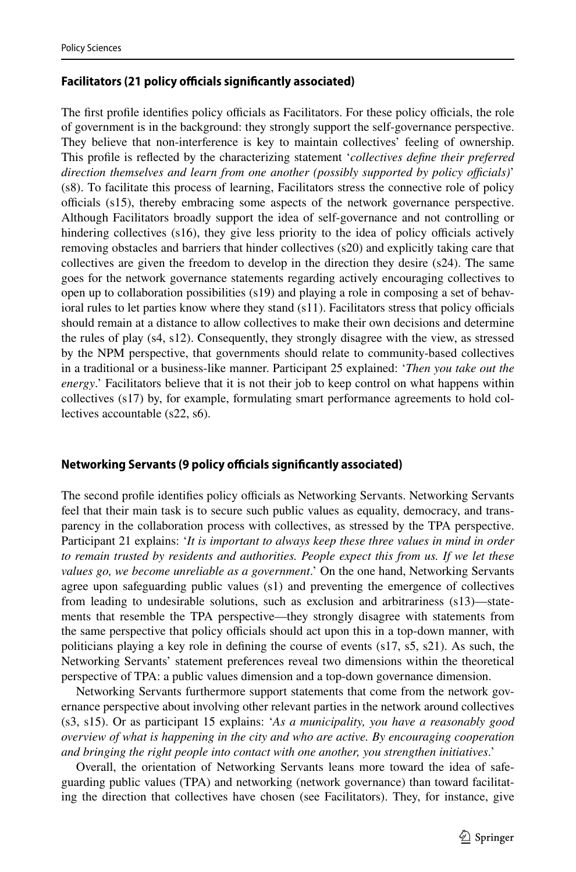## **Facilitators (21 policy officials significantly associated)**

The first profile identifies policy officials as Facilitators. For these policy officials, the role of government is in the background: they strongly support the self-governance perspective. They believe that non-interference is key to maintain collectives' feeling of ownership. This profle is refected by the characterizing statement '*collectives defne their preferred*  direction themselves and learn from one another (possibly supported by policy officials)' (s8). To facilitate this process of learning, Facilitators stress the connective role of policy officials (s15), thereby embracing some aspects of the network governance perspective. Although Facilitators broadly support the idea of self-governance and not controlling or hindering collectives  $(s16)$ , they give less priority to the idea of policy officials actively removing obstacles and barriers that hinder collectives (s20) and explicitly taking care that collectives are given the freedom to develop in the direction they desire (s24). The same goes for the network governance statements regarding actively encouraging collectives to open up to collaboration possibilities (s19) and playing a role in composing a set of behavioral rules to let parties know where they stand  $(s11)$ . Facilitators stress that policy officials should remain at a distance to allow collectives to make their own decisions and determine the rules of play (s4, s12). Consequently, they strongly disagree with the view, as stressed by the NPM perspective, that governments should relate to community-based collectives in a traditional or a business-like manner. Participant 25 explained: '*Then you take out the energy*.' Facilitators believe that it is not their job to keep control on what happens within collectives (s17) by, for example, formulating smart performance agreements to hold collectives accountable (s22, s6).

## **Networking Servants (9 policy officials significantly associated)**

The second profile identifies policy officials as Networking Servants. Networking Servants feel that their main task is to secure such public values as equality, democracy, and transparency in the collaboration process with collectives, as stressed by the TPA perspective. Participant 21 explains: '*It is important to always keep these three values in mind in order to remain trusted by residents and authorities. People expect this from us. If we let these values go, we become unreliable as a government*.' On the one hand, Networking Servants agree upon safeguarding public values (s1) and preventing the emergence of collectives from leading to undesirable solutions, such as exclusion and arbitrariness (s13)—statements that resemble the TPA perspective—they strongly disagree with statements from the same perspective that policy officials should act upon this in a top-down manner, with politicians playing a key role in defning the course of events (s17, s5, s21). As such, the Networking Servants' statement preferences reveal two dimensions within the theoretical perspective of TPA: a public values dimension and a top-down governance dimension.

Networking Servants furthermore support statements that come from the network governance perspective about involving other relevant parties in the network around collectives (s3, s15). Or as participant 15 explains: '*As a municipality, you have a reasonably good overview of what is happening in the city and who are active. By encouraging cooperation and bringing the right people into contact with one another, you strengthen initiatives*.'

Overall, the orientation of Networking Servants leans more toward the idea of safeguarding public values (TPA) and networking (network governance) than toward facilitating the direction that collectives have chosen (see Facilitators). They, for instance, give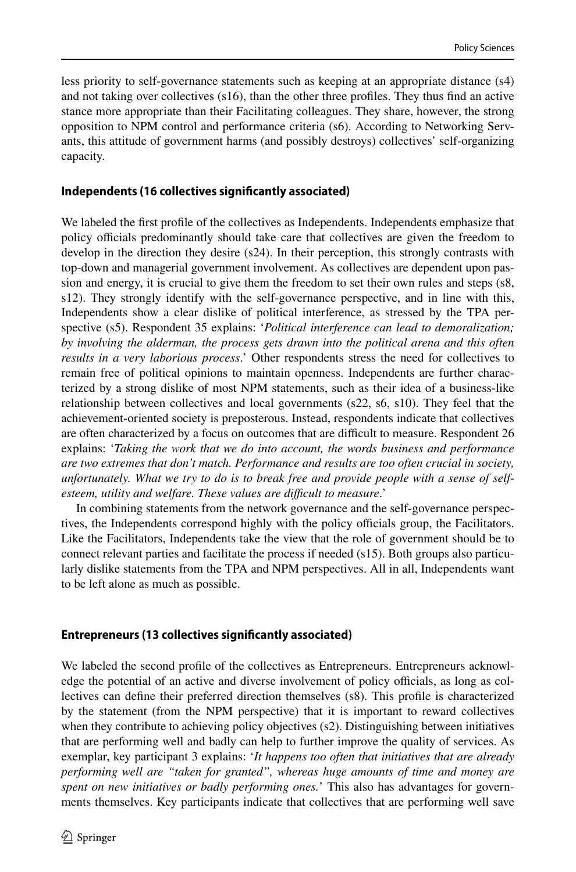less priority to self-governance statements such as keeping at an appropriate distance (s4) and not taking over collectives (s16), than the other three profles. They thus fnd an active stance more appropriate than their Facilitating colleagues. They share, however, the strong opposition to NPM control and performance criteria (s6). According to Networking Servants, this attitude of government harms (and possibly destroys) collectives' self-organizing capacity.

#### **Independents (16 collectives signifcantly associated)**

We labeled the frst profle of the collectives as Independents. Independents emphasize that policy officials predominantly should take care that collectives are given the freedom to develop in the direction they desire (s24). In their perception, this strongly contrasts with top-down and managerial government involvement. As collectives are dependent upon passion and energy, it is crucial to give them the freedom to set their own rules and steps (s8, s12). They strongly identify with the self-governance perspective, and in line with this, Independents show a clear dislike of political interference, as stressed by the TPA perspective (s5). Respondent 35 explains: '*Political interference can lead to demoralization; by involving the alderman, the process gets drawn into the political arena and this often results in a very laborious process*.' Other respondents stress the need for collectives to remain free of political opinions to maintain openness. Independents are further characterized by a strong dislike of most NPM statements, such as their idea of a business-like relationship between collectives and local governments (s22, s6, s10). They feel that the achievement-oriented society is preposterous. Instead, respondents indicate that collectives are often characterized by a focus on outcomes that are difficult to measure. Respondent 26 explains: '*Taking the work that we do into account, the words business and performance are two extremes that don't match. Performance and results are too often crucial in society, unfortunately. What we try to do is to break free and provide people with a sense of selfesteem, utility and welfare. These values are difcult to measure*.'

In combining statements from the network governance and the self-governance perspectives, the Independents correspond highly with the policy officials group, the Facilitators. Like the Facilitators, Independents take the view that the role of government should be to connect relevant parties and facilitate the process if needed (s15). Both groups also particularly dislike statements from the TPA and NPM perspectives. All in all, Independents want to be left alone as much as possible.

#### **Entrepreneurs (13 collectives signifcantly associated)**

We labeled the second profle of the collectives as Entrepreneurs. Entrepreneurs acknowledge the potential of an active and diverse involvement of policy officials, as long as collectives can defne their preferred direction themselves (s8). This profle is characterized by the statement (from the NPM perspective) that it is important to reward collectives when they contribute to achieving policy objectives (s2). Distinguishing between initiatives that are performing well and badly can help to further improve the quality of services. As exemplar, key participant 3 explains: '*It happens too often that initiatives that are already performing well are "taken for granted", whereas huge amounts of time and money are spent on new initiatives or badly performing ones.*' This also has advantages for governments themselves. Key participants indicate that collectives that are performing well save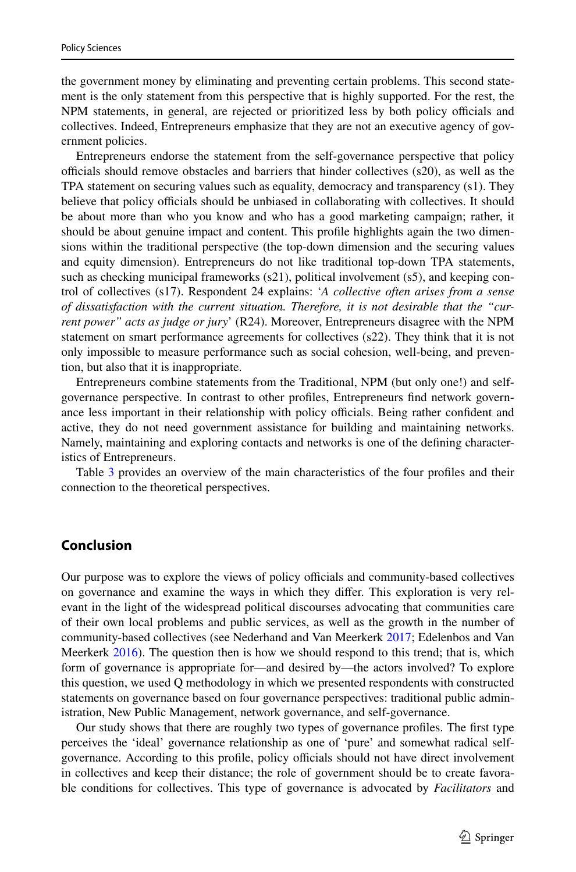the government money by eliminating and preventing certain problems. This second statement is the only statement from this perspective that is highly supported. For the rest, the NPM statements, in general, are rejected or prioritized less by both policy officials and collectives. Indeed, Entrepreneurs emphasize that they are not an executive agency of government policies.

Entrepreneurs endorse the statement from the self-governance perspective that policy officials should remove obstacles and barriers that hinder collectives  $(s20)$ , as well as the TPA statement on securing values such as equality, democracy and transparency (s1). They believe that policy officials should be unbiased in collaborating with collectives. It should be about more than who you know and who has a good marketing campaign; rather, it should be about genuine impact and content. This profle highlights again the two dimensions within the traditional perspective (the top-down dimension and the securing values and equity dimension). Entrepreneurs do not like traditional top-down TPA statements, such as checking municipal frameworks (s21), political involvement (s5), and keeping control of collectives (s17). Respondent 24 explains: '*A collective often arises from a sense of dissatisfaction with the current situation. Therefore, it is not desirable that the "current power" acts as judge or jury*' (R24). Moreover, Entrepreneurs disagree with the NPM statement on smart performance agreements for collectives (s22). They think that it is not only impossible to measure performance such as social cohesion, well-being, and prevention, but also that it is inappropriate.

Entrepreneurs combine statements from the Traditional, NPM (but only one!) and selfgovernance perspective. In contrast to other profles, Entrepreneurs fnd network governance less important in their relationship with policy officials. Being rather confident and active, they do not need government assistance for building and maintaining networks. Namely, maintaining and exploring contacts and networks is one of the defning characteristics of Entrepreneurs.

Table [3](#page-13-0) provides an overview of the main characteristics of the four profles and their connection to the theoretical perspectives.

# **Conclusion**

Our purpose was to explore the views of policy officials and community-based collectives on governance and examine the ways in which they difer. This exploration is very relevant in the light of the widespread political discourses advocating that communities care of their own local problems and public services, as well as the growth in the number of community-based collectives (see Nederhand and Van Meerkerk [2017](#page-20-18); Edelenbos and Van Meerkerk [2016](#page-19-26)). The question then is how we should respond to this trend; that is, which form of governance is appropriate for—and desired by—the actors involved? To explore this question, we used Q methodology in which we presented respondents with constructed statements on governance based on four governance perspectives: traditional public administration, New Public Management, network governance, and self-governance.

Our study shows that there are roughly two types of governance profles. The frst type perceives the 'ideal' governance relationship as one of 'pure' and somewhat radical selfgovernance. According to this profile, policy officials should not have direct involvement in collectives and keep their distance; the role of government should be to create favorable conditions for collectives. This type of governance is advocated by *Facilitators* and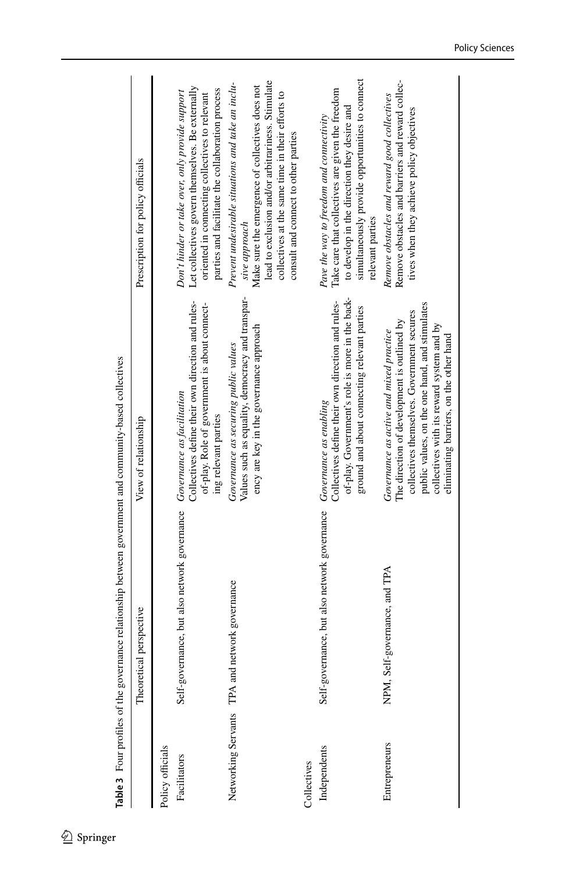<span id="page-13-0"></span>

|                                  | Theoretical perspective                                                 | View of relationship                                                                                                                                                                                                                                                           | Prescription for policy officials                                                                                                                                                                                                                                      |
|----------------------------------|-------------------------------------------------------------------------|--------------------------------------------------------------------------------------------------------------------------------------------------------------------------------------------------------------------------------------------------------------------------------|------------------------------------------------------------------------------------------------------------------------------------------------------------------------------------------------------------------------------------------------------------------------|
| Policy officials<br>Facilitators | Self-governance, but also network governance Governance as facilitation | Collectives define their own direction and rules-<br>of-play. Role of government is about connect-<br>ing relevant parties                                                                                                                                                     | Let collectives govern themselves. Be externally<br>parties and facilitate the collaboration process<br>Don't hinder or take over, only provide support<br>oriented in connecting collectives to relevant                                                              |
|                                  | Networking Servants TPA and network governance                          | Values such as equality, democracy and transpar-<br>ency are key in the governance approach<br>Governance as securing public values                                                                                                                                            | lead to exclusion and/or arbitrariness. Stimulate<br>Prevent undesirable situations and take an inclu-<br>Make sure the emergence of collectives does not<br>collectives at the same time in their efforts to<br>consult and connect to other parties<br>sive approach |
| Collectives                      |                                                                         |                                                                                                                                                                                                                                                                                |                                                                                                                                                                                                                                                                        |
| Independents                     | Self-governance, but also network governance                            | of-play. Government's role is more in the back-<br>Collectives define their own direction and rules-<br>ground and about connecting relevant parties<br>Governance as enabling                                                                                                 | simultaneously provide opportunities to connect<br>Take care that collectives are given the freedom<br>to develop in the direction they desire and<br>Pave the way to freedom and connectivity<br>relevant parties                                                     |
| Entrepreneurs                    | NPM, Self-governance, and TPA                                           | public values, on the one hand, and stimulates<br>collectives themselves. Government secures<br>The direction of development is outlined by<br>collectives with its reward system and by<br>Governance as active and mixed practice<br>eliminating barriers, on the other hand | Remove obstacles and barriers and reward collec-<br>Remove obstacles and reward good collectives<br>tives when they achieve policy objectives                                                                                                                          |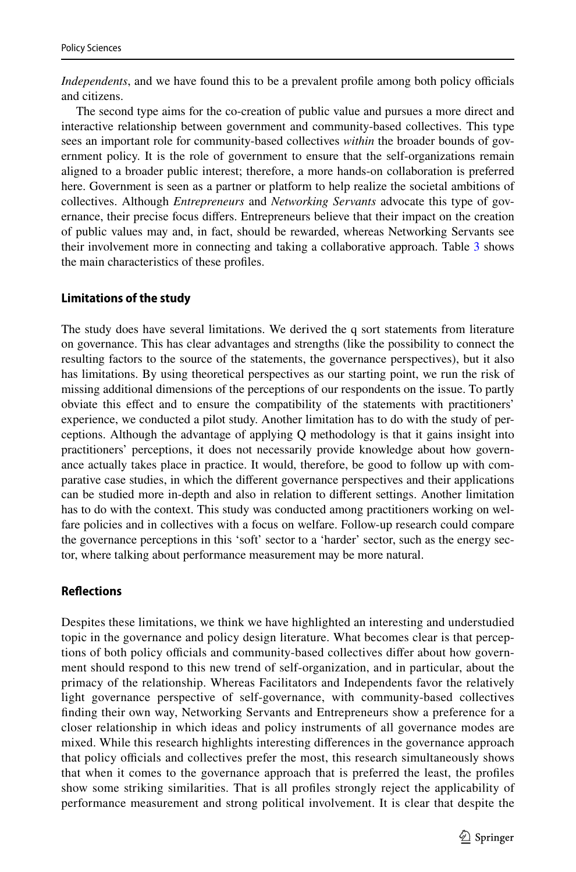*Independents*, and we have found this to be a prevalent profile among both policy officials and citizens.

The second type aims for the co-creation of public value and pursues a more direct and interactive relationship between government and community-based collectives. This type sees an important role for community-based collectives *within* the broader bounds of government policy. It is the role of government to ensure that the self-organizations remain aligned to a broader public interest; therefore, a more hands-on collaboration is preferred here. Government is seen as a partner or platform to help realize the societal ambitions of collectives. Although *Entrepreneurs* and *Networking Servants* advocate this type of governance, their precise focus difers. Entrepreneurs believe that their impact on the creation of public values may and, in fact, should be rewarded, whereas Networking Servants see their involvement more in connecting and taking a collaborative approach. Table [3](#page-13-0) shows the main characteristics of these profles.

#### **Limitations of the study**

The study does have several limitations. We derived the q sort statements from literature on governance. This has clear advantages and strengths (like the possibility to connect the resulting factors to the source of the statements, the governance perspectives), but it also has limitations. By using theoretical perspectives as our starting point, we run the risk of missing additional dimensions of the perceptions of our respondents on the issue. To partly obviate this efect and to ensure the compatibility of the statements with practitioners' experience, we conducted a pilot study. Another limitation has to do with the study of perceptions. Although the advantage of applying Q methodology is that it gains insight into practitioners' perceptions, it does not necessarily provide knowledge about how governance actually takes place in practice. It would, therefore, be good to follow up with comparative case studies, in which the diferent governance perspectives and their applications can be studied more in-depth and also in relation to diferent settings. Another limitation has to do with the context. This study was conducted among practitioners working on welfare policies and in collectives with a focus on welfare. Follow-up research could compare the governance perceptions in this 'soft' sector to a 'harder' sector, such as the energy sector, where talking about performance measurement may be more natural.

## **Refections**

Despites these limitations, we think we have highlighted an interesting and understudied topic in the governance and policy design literature. What becomes clear is that perceptions of both policy officials and community-based collectives differ about how government should respond to this new trend of self-organization, and in particular, about the primacy of the relationship. Whereas Facilitators and Independents favor the relatively light governance perspective of self-governance, with community-based collectives fnding their own way, Networking Servants and Entrepreneurs show a preference for a closer relationship in which ideas and policy instruments of all governance modes are mixed. While this research highlights interesting diferences in the governance approach that policy officials and collectives prefer the most, this research simultaneously shows that when it comes to the governance approach that is preferred the least, the profles show some striking similarities. That is all profles strongly reject the applicability of performance measurement and strong political involvement. It is clear that despite the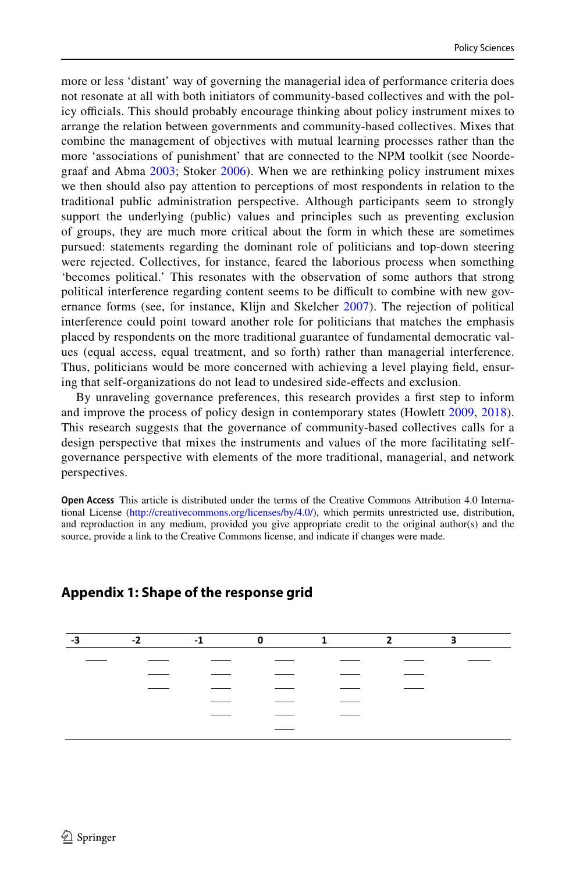more or less 'distant' way of governing the managerial idea of performance criteria does not resonate at all with both initiators of community-based collectives and with the policy officials. This should probably encourage thinking about policy instrument mixes to arrange the relation between governments and community-based collectives. Mixes that combine the management of objectives with mutual learning processes rather than the more 'associations of punishment' that are connected to the NPM toolkit (see Noordegraaf and Abma [2003;](#page-20-19) Stoker [2006\)](#page-20-20). When we are rethinking policy instrument mixes we then should also pay attention to perceptions of most respondents in relation to the traditional public administration perspective. Although participants seem to strongly support the underlying (public) values and principles such as preventing exclusion of groups, they are much more critical about the form in which these are sometimes pursued: statements regarding the dominant role of politicians and top-down steering were rejected. Collectives, for instance, feared the laborious process when something 'becomes political.' This resonates with the observation of some authors that strong political interference regarding content seems to be difcult to combine with new governance forms (see, for instance, Klijn and Skelcher [2007\)](#page-19-27). The rejection of political interference could point toward another role for politicians that matches the emphasis placed by respondents on the more traditional guarantee of fundamental democratic values (equal access, equal treatment, and so forth) rather than managerial interference. Thus, politicians would be more concerned with achieving a level playing feld, ensuring that self-organizations do not lead to undesired side-efects and exclusion.

By unraveling governance preferences, this research provides a frst step to inform and improve the process of policy design in contemporary states (Howlett [2009](#page-19-8), [2018\)](#page-19-12). This research suggests that the governance of community-based collectives calls for a design perspective that mixes the instruments and values of the more facilitating selfgovernance perspective with elements of the more traditional, managerial, and network perspectives.

**Open Access** This article is distributed under the terms of the Creative Commons Attribution 4.0 International License ([http://creativecommons.org/licenses/by/4.0/\)](http://creativecommons.org/licenses/by/4.0/), which permits unrestricted use, distribution, and reproduction in any medium, provided you give appropriate credit to the original author(s) and the source, provide a link to the Creative Commons license, and indicate if changes were made.

| - 1 | $-2$ | $-1$   | $\overline{\mathbf{0}}$ | $\mathbf{1}$ | $\overline{\mathbf{2}}$ | ર |
|-----|------|--------|-------------------------|--------------|-------------------------|---|
|     |      |        |                         |              |                         |   |
|     |      |        |                         |              |                         |   |
|     |      |        |                         |              |                         |   |
|     |      | $\sim$ |                         |              |                         |   |
|     |      |        |                         |              |                         |   |
|     |      |        |                         |              |                         |   |
|     |      |        |                         |              |                         |   |
|     |      |        |                         |              |                         |   |

## <span id="page-15-0"></span>**Appendix 1: Shape of the response grid**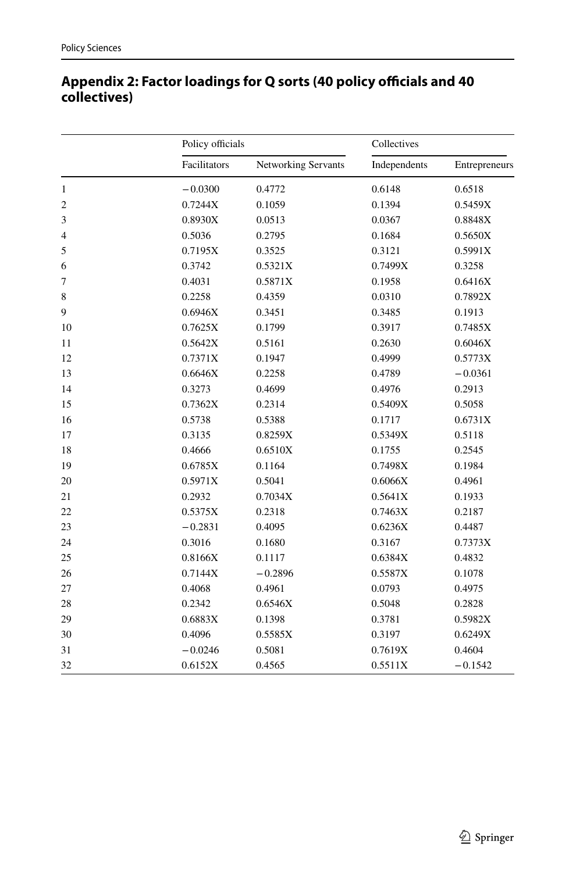# <span id="page-16-0"></span>Appendix 2: Factor loadings for Q sorts (40 policy officials and 40 **collectives)**

|                | Policy officials |                     | Collectives  |               |
|----------------|------------------|---------------------|--------------|---------------|
|                | Facilitators     | Networking Servants | Independents | Entrepreneurs |
| $\mathbf{1}$   | $-0.0300$        | 0.4772              | 0.6148       | 0.6518        |
| $\overline{2}$ | 0.7244X          | 0.1059              | 0.1394       | 0.5459X       |
| 3              | 0.8930X          | 0.0513              | 0.0367       | 0.8848X       |
| 4              | 0.5036           | 0.2795              | 0.1684       | 0.5650X       |
| 5              | 0.7195X          | 0.3525              | 0.3121       | 0.5991X       |
| 6              | 0.3742           | 0.5321X             | 0.7499X      | 0.3258        |
| $\overline{7}$ | 0.4031           | 0.5871X             | 0.1958       | 0.6416X       |
| $\,$ 8 $\,$    | 0.2258           | 0.4359              | 0.0310       | 0.7892X       |
| 9              | 0.6946X          | 0.3451              | 0.3485       | 0.1913        |
| 10             | 0.7625X          | 0.1799              | 0.3917       | 0.7485X       |
| 11             | 0.5642X          | 0.5161              | 0.2630       | 0.6046X       |
| 12             | 0.7371X          | 0.1947              | 0.4999       | 0.5773X       |
| 13             | 0.6646X          | 0.2258              | 0.4789       | $-0.0361$     |
| 14             | 0.3273           | 0.4699              | 0.4976       | 0.2913        |
| 15             | 0.7362X          | 0.2314              | 0.5409X      | 0.5058        |
| 16             | 0.5738           | 0.5388              | 0.1717       | 0.6731X       |
| 17             | 0.3135           | 0.8259X             | 0.5349X      | 0.5118        |
| 18             | 0.4666           | 0.6510X             | 0.1755       | 0.2545        |
| 19             | $0.6785\rm X$    | 0.1164              | 0.7498X      | 0.1984        |
| 20             | 0.5971X          | 0.5041              | 0.6066X      | 0.4961        |
| 21             | 0.2932           | 0.7034X             | 0.5641X      | 0.1933        |
| 22             | 0.5375X          | 0.2318              | 0.7463X      | 0.2187        |
| 23             | $-0.2831$        | 0.4095              | 0.6236X      | 0.4487        |
| 24             | 0.3016           | 0.1680              | 0.3167       | 0.7373X       |
| $25\,$         | 0.8166X          | 0.1117              | 0.6384X      | 0.4832        |
| 26             | 0.7144X          | $-0.2896$           | 0.5587X      | 0.1078        |
| 27             | 0.4068           | 0.4961              | 0.0793       | 0.4975        |
| $28\,$         | 0.2342           | 0.6546X             | 0.5048       | 0.2828        |
| 29             | 0.6883X          | 0.1398              | 0.3781       | 0.5982X       |
| 30             | 0.4096           | 0.5585X             | 0.3197       | 0.6249X       |
| 31             | $-0.0246$        | 0.5081              | 0.7619X      | 0.4604        |
| 32             | 0.6152X          | 0.4565              | 0.5511X      | $-0.1542$     |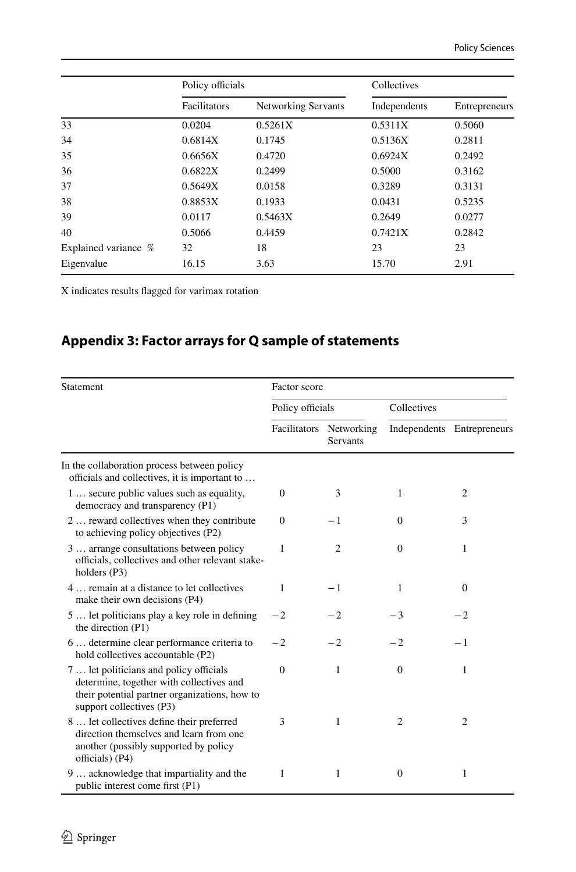|                      | Policy officials |                            | Collectives  |               |
|----------------------|------------------|----------------------------|--------------|---------------|
|                      | Facilitators     | <b>Networking Servants</b> | Independents | Entrepreneurs |
| 33                   | 0.0204           | 0.5261X                    | 0.5311X      | 0.5060        |
| 34                   | 0.6814X          | 0.1745                     | 0.5136X      | 0.2811        |
| 35                   | 0.6656X          | 0.4720                     | 0.6924X      | 0.2492        |
| 36                   | 0.6822X          | 0.2499                     | 0.5000       | 0.3162        |
| 37                   | 0.5649X          | 0.0158                     | 0.3289       | 0.3131        |
| 38                   | 0.8853X          | 0.1933                     | 0.0431       | 0.5235        |
| 39                   | 0.0117           | 0.5463X                    | 0.2649       | 0.0277        |
| 40                   | 0.5066           | 0.4459                     | 0.7421X      | 0.2842        |
| Explained variance % | 32               | 18                         | 23           | 23            |
| Eigenvalue           | 16.15            | 3.63                       | 15.70        | 2.91          |

X indicates results fagged for varimax rotation

# <span id="page-17-0"></span>**Appendix 3: Factor arrays for Q sample of statements**

| Statement                                                                                                                                                       | Factor score     |                                     |                |                            |  |
|-----------------------------------------------------------------------------------------------------------------------------------------------------------------|------------------|-------------------------------------|----------------|----------------------------|--|
|                                                                                                                                                                 | Policy officials |                                     | Collectives    |                            |  |
|                                                                                                                                                                 |                  | Facilitators Networking<br>Servants |                | Independents Entrepreneurs |  |
| In the collaboration process between policy<br>officials and collectives, it is important to                                                                    |                  |                                     |                |                            |  |
| 1  secure public values such as equality,<br>democracy and transparency (P1)                                                                                    | $\mathbf{0}$     | 3                                   | 1              | $\overline{2}$             |  |
| 2 reward collectives when they contribute<br>to achieving policy objectives (P2)                                                                                | $\Omega$         | $-1$                                | $\Omega$       | 3                          |  |
| 3  arrange consultations between policy<br>officials, collectives and other relevant stake-<br>holders $(P3)$                                                   | 1                | $\mathfrak{2}$                      | $\Omega$       | 1                          |  |
| 4 remain at a distance to let collectives<br>make their own decisions (P4)                                                                                      | 1                | $-1$                                | 1              | $\mathbf{0}$               |  |
| 5  let politicians play a key role in defining<br>the direction (P1)                                                                                            | $-2$             | $-2$                                | $-3$           | $-2$                       |  |
| 6  determine clear performance criteria to<br>hold collectives accountable (P2)                                                                                 | $-2$             | $-2$                                | $-2$           | $-1$                       |  |
| 7 let politicians and policy officials<br>determine, together with collectives and<br>their potential partner organizations, how to<br>support collectives (P3) | $\mathbf{0}$     | 1                                   | $\Omega$       | 1                          |  |
| 8 let collectives define their preferred<br>direction themselves and learn from one<br>another (possibly supported by policy<br>officials) (P4)                 | 3                | 1                                   | $\overline{2}$ | $\overline{2}$             |  |
| 9 acknowledge that impartiality and the<br>public interest come first (P1)                                                                                      | 1                | 1                                   | $\mathbf{0}$   | 1                          |  |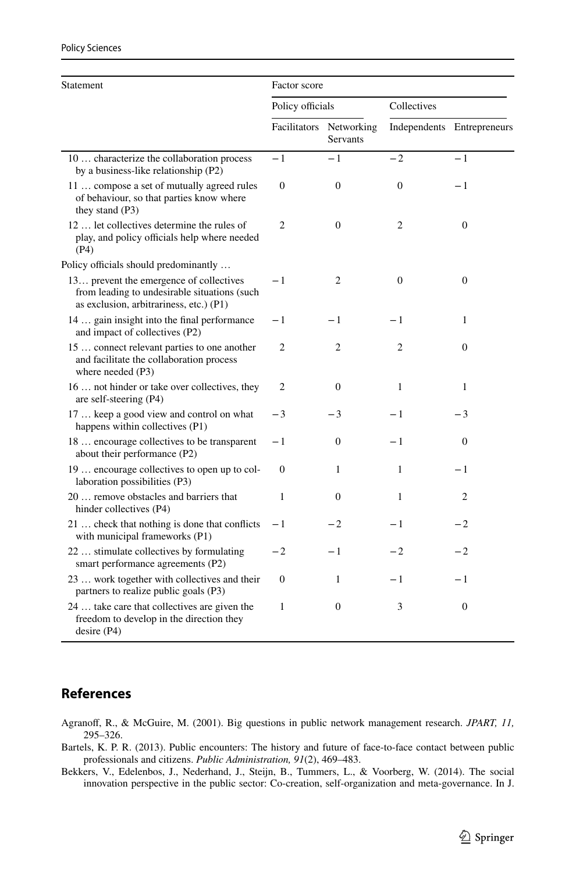| Statement                                                                                                                          | Factor score     |                        |                |                            |  |
|------------------------------------------------------------------------------------------------------------------------------------|------------------|------------------------|----------------|----------------------------|--|
|                                                                                                                                    | Policy officials |                        | Collectives    |                            |  |
|                                                                                                                                    | Facilitators     | Networking<br>Servants |                | Independents Entrepreneurs |  |
| 10  characterize the collaboration process<br>by a business-like relationship (P2)                                                 | $-1$             | $-1$                   | $-2$           | $-1$                       |  |
| 11  compose a set of mutually agreed rules<br>of behaviour, so that parties know where<br>they stand (P3)                          | $\overline{0}$   | $\overline{0}$         | $\overline{0}$ | $-1$                       |  |
| 12 let collectives determine the rules of<br>play, and policy officials help where needed<br>(P4)                                  | $\overline{2}$   | $\mathbf{0}$           | $\overline{c}$ | $\mathbf{0}$               |  |
| Policy officials should predominantly                                                                                              |                  |                        |                |                            |  |
| 13 prevent the emergence of collectives<br>from leading to undesirable situations (such<br>as exclusion, arbitrariness, etc.) (P1) | $-1$             | $\overline{2}$         | $\overline{0}$ | $\boldsymbol{0}$           |  |
| 14  gain insight into the final performance<br>and impact of collectives (P2)                                                      | $-1$             | $-1$                   | $-1$           | 1                          |  |
| 15  connect relevant parties to one another<br>and facilitate the collaboration process<br>where needed (P3)                       | $\overline{2}$   | $\overline{2}$         | 2              | $\overline{0}$             |  |
| 16  not hinder or take over collectives, they<br>are self-steering (P4)                                                            | $\overline{2}$   | $\Omega$               | $\mathbf{1}$   | $\mathbf{1}$               |  |
| 17  keep a good view and control on what<br>happens within collectives (P1)                                                        | $-3$             | -3                     | $-1$           | $-3$                       |  |
| 18  encourage collectives to be transparent<br>about their performance (P2)                                                        | $-1$             | $\mathbf{0}$           | $-1$           | 0                          |  |
| 19  encourage collectives to open up to col-<br>laboration possibilities (P3)                                                      | $\boldsymbol{0}$ | $\mathbf{1}$           | $\mathbf{1}$   | $-1$                       |  |
| 20  remove obstacles and barriers that<br>hinder collectives (P4)                                                                  | $\mathbf{1}$     | $\overline{0}$         | $\mathbf{1}$   | $\mathbf{2}$               |  |
| 21  check that nothing is done that conflicts<br>with municipal frameworks (P1)                                                    | $-1$             | $-2$                   | $-1$           | $-2$                       |  |
| 22  stimulate collectives by formulating<br>smart performance agreements (P2)                                                      | $-2$             | $-1$                   | $-2$           | $-2$                       |  |
| 23  work together with collectives and their<br>partners to realize public goals (P3)                                              | $\mathbf{0}$     | 1                      | $-1$           | $-1$                       |  |
| 24  take care that collectives are given the<br>freedom to develop in the direction they<br>desire $(P4)$                          | 1                | $\mathbf{0}$           | 3              | 0                          |  |

# **References**

<span id="page-18-2"></span>Agranof, R., & McGuire, M. (2001). Big questions in public network management research. *JPART, 11,* 295–326.

<span id="page-18-1"></span>Bartels, K. P. R. (2013). Public encounters: The history and future of face-to-face contact between public professionals and citizens. *Public Administration, 91*(2), 469–483.

<span id="page-18-0"></span>Bekkers, V., Edelenbos, J., Nederhand, J., Steijn, B., Tummers, L., & Voorberg, W. (2014). The social innovation perspective in the public sector: Co-creation, self-organization and meta-governance. In J.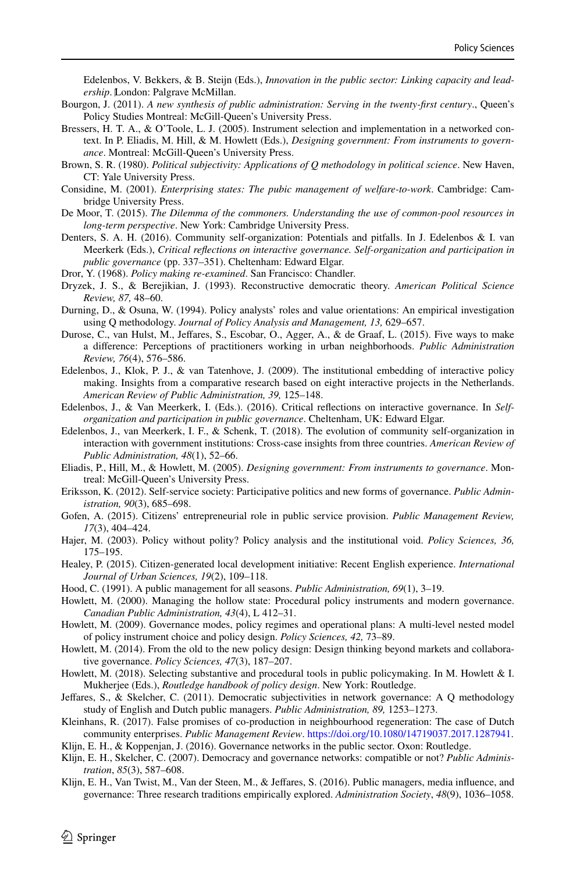Edelenbos, V. Bekkers, & B. Steijn (Eds.), *Innovation in the public sector: Linking capacity and leadership*. London: Palgrave McMillan.

- <span id="page-19-16"></span>Bourgon, J. (2011). *A new synthesis of public administration: Serving in the twenty-frst century*., Queen's Policy Studies Montreal: McGill-Queen's University Press.
- <span id="page-19-10"></span>Bressers, H. T. A., & O'Toole, L. J. (2005). Instrument selection and implementation in a networked context. In P. Eliadis, M. Hill, & M. Howlett (Eds.), *Designing government: From instruments to governance*. Montreal: McGill-Queen's University Press.
- <span id="page-19-15"></span>Brown, S. R. (1980). *Political subjectivity: Applications of Q methodology in political science*. New Haven, CT: Yale University Press.
- <span id="page-19-7"></span>Considine, M. (2001). *Enterprising states: The pubic management of welfare-to-work*. Cambridge: Cambridge University Press.
- <span id="page-19-4"></span>De Moor, T. (2015). *The Dilemma of the commoners. Understanding the use of common-pool resources in long-term perspective*. New York: Cambridge University Press.
- <span id="page-19-13"></span>Denters, S. A. H. (2016). Community self-organization: Potentials and pitfalls. In J. Edelenbos & I. van Meerkerk (Eds.), *Critical refections on interactive governance. Self-organization and participation in public governance* (pp. 337–351). Cheltenham: Edward Elgar.
- <span id="page-19-17"></span>Dror, Y. (1968). *Policy making re-examined*. San Francisco: Chandler.
- <span id="page-19-25"></span>Dryzek, J. S., & Berejikian, J. (1993). Reconstructive democratic theory. *American Political Science Review, 87,* 48–60.
- <span id="page-19-23"></span>Durning, D., & Osuna, W. (1994). Policy analysts' roles and value orientations: An empirical investigation using Q methodology. *Journal of Policy Analysis and Management, 13,* 629–657.
- <span id="page-19-21"></span>Durose, C., van Hulst, M., Jeffares, S., Escobar, O., Agger, A., & de Graaf, L. (2015). Five ways to make a diference: Perceptions of practitioners working in urban neighborhoods. *Public Administration Review, 76*(4), 576–586.
- <span id="page-19-6"></span>Edelenbos, J., Klok, P. J., & van Tatenhove, J. (2009). The institutional embedding of interactive policy making. Insights from a comparative research based on eight interactive projects in the Netherlands. *American Review of Public Administration, 39,* 125–148.
- <span id="page-19-26"></span>Edelenbos, J., & Van Meerkerk, I. (Eds.). (2016). Critical refections on interactive governance. In *Selforganization and participation in public governance*. Cheltenham, UK: Edward Elgar.
- <span id="page-19-1"></span>Edelenbos, J., van Meerkerk, I. F., & Schenk, T. (2018). The evolution of community self-organization in interaction with government institutions: Cross-case insights from three countries. *American Review of Public Administration, 48*(1), 52–66.
- <span id="page-19-11"></span>Eliadis, P., Hill, M., & Howlett, M. (2005). *Designing government: From instruments to governance*. Montreal: McGill-Queen's University Press.
- <span id="page-19-0"></span>Eriksson, K. (2012). Self-service society: Participative politics and new forms of governance. *Public Administration, 90*(3), 685–698.
- <span id="page-19-2"></span>Gofen, A. (2015). Citizens' entrepreneurial role in public service provision. *Public Management Review, 17*(3), 404–424.
- <span id="page-19-14"></span>Hajer, M. (2003). Policy without polity? Policy analysis and the institutional void. *Policy Sciences, 36,* 175–195.
- <span id="page-19-3"></span>Healey, P. (2015). Citizen-generated local development initiative: Recent English experience. *International Journal of Urban Sciences, 19*(2), 109–118.
- <span id="page-19-18"></span>Hood, C. (1991). A public management for all seasons. *Public Administration, 69*(1), 3–19.
- <span id="page-19-19"></span>Howlett, M. (2000). Managing the hollow state: Procedural policy instruments and modern governance. *Canadian Public Administration, 43*(4), L 412–31.
- <span id="page-19-8"></span>Howlett, M. (2009). Governance modes, policy regimes and operational plans: A multi-level nested model of policy instrument choice and policy design. *Policy Sciences, 42,* 73–89.
- <span id="page-19-9"></span>Howlett, M. (2014). From the old to the new policy design: Design thinking beyond markets and collaborative governance. *Policy Sciences, 47*(3), 187–207.
- <span id="page-19-12"></span>Howlett, M. (2018). Selecting substantive and procedural tools in public policymaking. In M. Howlett & I. Mukherjee (Eds.), *Routledge handbook of policy design*. New York: Routledge.
- <span id="page-19-22"></span>Jefares, S., & Skelcher, C. (2011). Democratic subjectivities in network governance: A Q methodology study of English and Dutch public managers. *Public Administration, 89,* 1253–1273.
- <span id="page-19-5"></span>Kleinhans, R. (2017). False promises of co-production in neighbourhood regeneration: The case of Dutch community enterprises. *Public Management Review*. <https://doi.org/10.1080/14719037.2017.1287941>.
- <span id="page-19-20"></span>Klijn, E. H., & Koppenjan, J. (2016). Governance networks in the public sector. Oxon: Routledge.
- <span id="page-19-27"></span>Klijn, E. H., Skelcher, C. (2007). Democracy and governance networks: compatible or not? *Public Administration*, *85*(3), 587–608.
- <span id="page-19-24"></span>Klijn, E. H., Van Twist, M., Van der Steen, M., & Jefares, S. (2016). Public managers, media infuence, and governance: Three research traditions empirically explored. *Administration Society*, *48*(9), 1036–1058.